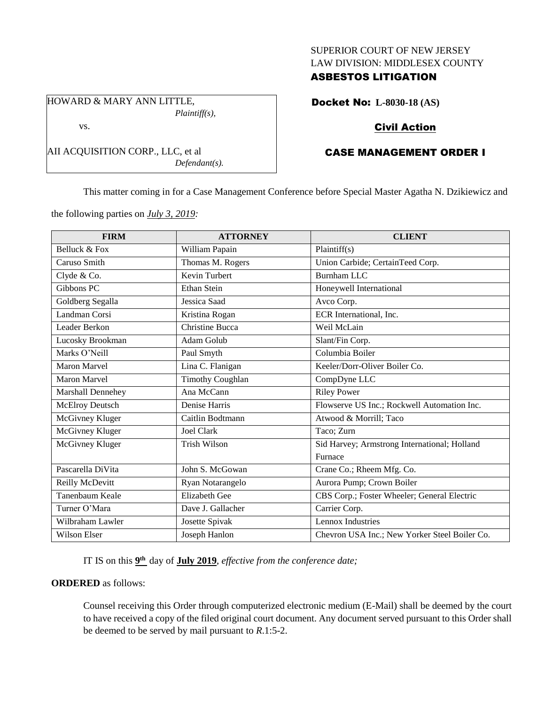#### SUPERIOR COURT OF NEW JERSEY LAW DIVISION: MIDDLESEX COUNTY

## ASBESTOS LITIGATION

HOWARD & MARY ANN LITTLE, *Plaintiff(s),*

#### vs.

AII ACQUISITION CORP., LLC, et al *Defendant(s).*

## Docket No: **L-8030-18 (AS)**

## Civil Action

# CASE MANAGEMENT ORDER I

This matter coming in for a Case Management Conference before Special Master Agatha N. Dzikiewicz and

the following parties on *July 3, 2019:*

| <b>FIRM</b>         | <b>ATTORNEY</b>         | <b>CLIENT</b>                                 |
|---------------------|-------------------------|-----------------------------------------------|
| Belluck & Fox       | William Papain          | Plaintiff(s)                                  |
| Caruso Smith        | Thomas M. Rogers        | Union Carbide; CertainTeed Corp.              |
| Clyde & Co.         | <b>Kevin Turbert</b>    | <b>Burnham LLC</b>                            |
| Gibbons PC          | <b>Ethan Stein</b>      | Honeywell International                       |
| Goldberg Segalla    | Jessica Saad            | Avco Corp.                                    |
| Landman Corsi       | Kristina Rogan          | ECR International, Inc.                       |
| Leader Berkon       | <b>Christine Bucca</b>  | Weil McLain                                   |
| Lucosky Brookman    | Adam Golub              | Slant/Fin Corp.                               |
| Marks O'Neill       | Paul Smyth              | Columbia Boiler                               |
| <b>Maron Marvel</b> | Lina C. Flanigan        | Keeler/Dorr-Oliver Boiler Co.                 |
| <b>Maron Marvel</b> | <b>Timothy Coughlan</b> | CompDyne LLC                                  |
| Marshall Dennehey   | Ana McCann              | <b>Riley Power</b>                            |
| McElroy Deutsch     | Denise Harris           | Flowserve US Inc.; Rockwell Automation Inc.   |
| McGivney Kluger     | Caitlin Bodtmann        | Atwood & Morrill; Taco                        |
| McGivney Kluger     | Joel Clark              | Taco; Zurn                                    |
| McGivney Kluger     | <b>Trish Wilson</b>     | Sid Harvey; Armstrong International; Holland  |
|                     |                         | Furnace                                       |
| Pascarella DiVita   | John S. McGowan         | Crane Co.; Rheem Mfg. Co.                     |
| Reilly McDevitt     | Ryan Notarangelo        | Aurora Pump; Crown Boiler                     |
| Tanenbaum Keale     | <b>Elizabeth Gee</b>    | CBS Corp.; Foster Wheeler; General Electric   |
| Turner O'Mara       | Dave J. Gallacher       | Carrier Corp.                                 |
| Wilbraham Lawler    | Josette Spivak          | Lennox Industries                             |
| Wilson Elser        | Joseph Hanlon           | Chevron USA Inc.; New Yorker Steel Boiler Co. |

IT IS on this  $9<sup>th</sup>$  day of **July 2019**, *effective from the conference date*;

### **ORDERED** as follows:

Counsel receiving this Order through computerized electronic medium (E-Mail) shall be deemed by the court to have received a copy of the filed original court document. Any document served pursuant to this Order shall be deemed to be served by mail pursuant to *R*.1:5-2.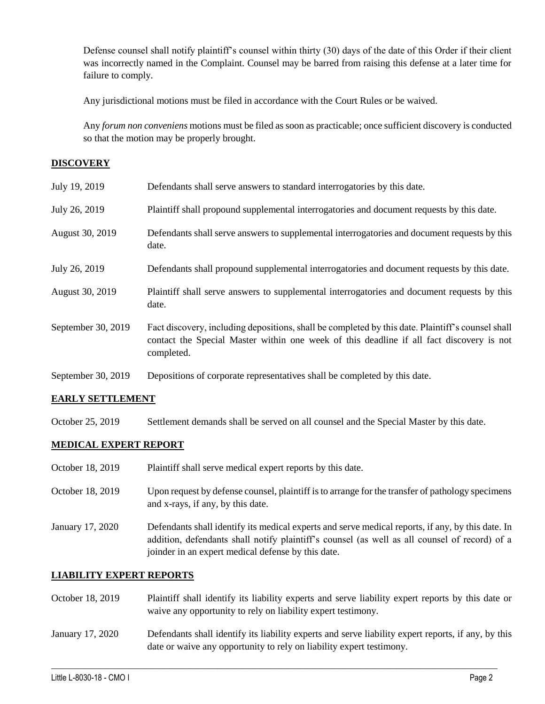Defense counsel shall notify plaintiff's counsel within thirty (30) days of the date of this Order if their client was incorrectly named in the Complaint. Counsel may be barred from raising this defense at a later time for failure to comply.

Any jurisdictional motions must be filed in accordance with the Court Rules or be waived.

Any *forum non conveniens* motions must be filed as soon as practicable; once sufficient discovery is conducted so that the motion may be properly brought.

## **DISCOVERY**

| July 19, 2019      | Defendants shall serve answers to standard interrogatories by this date.                                                                                                                                    |
|--------------------|-------------------------------------------------------------------------------------------------------------------------------------------------------------------------------------------------------------|
| July 26, 2019      | Plaintiff shall propound supplemental interrogatories and document requests by this date.                                                                                                                   |
| August 30, 2019    | Defendants shall serve answers to supplemental interrogatories and document requests by this<br>date.                                                                                                       |
| July 26, 2019      | Defendants shall propound supplemental interrogatories and document requests by this date.                                                                                                                  |
| August 30, 2019    | Plaintiff shall serve answers to supplemental interrogatories and document requests by this<br>date.                                                                                                        |
| September 30, 2019 | Fact discovery, including depositions, shall be completed by this date. Plaintiff's counsel shall<br>contact the Special Master within one week of this deadline if all fact discovery is not<br>completed. |
| September 30, 2019 | Depositions of corporate representatives shall be completed by this date.                                                                                                                                   |

### **EARLY SETTLEMENT**

October 25, 2019 Settlement demands shall be served on all counsel and the Special Master by this date.

## **MEDICAL EXPERT REPORT**

- October 18, 2019 Plaintiff shall serve medical expert reports by this date.
- October 18, 2019 Upon request by defense counsel, plaintiff is to arrange for the transfer of pathology specimens and x-rays, if any, by this date.
- January 17, 2020 Defendants shall identify its medical experts and serve medical reports, if any, by this date. In addition, defendants shall notify plaintiff's counsel (as well as all counsel of record) of a joinder in an expert medical defense by this date.

### **LIABILITY EXPERT REPORTS**

- October 18, 2019 Plaintiff shall identify its liability experts and serve liability expert reports by this date or waive any opportunity to rely on liability expert testimony.
- January 17, 2020 Defendants shall identify its liability experts and serve liability expert reports, if any, by this date or waive any opportunity to rely on liability expert testimony.

 $\_$  , and the set of the set of the set of the set of the set of the set of the set of the set of the set of the set of the set of the set of the set of the set of the set of the set of the set of the set of the set of th